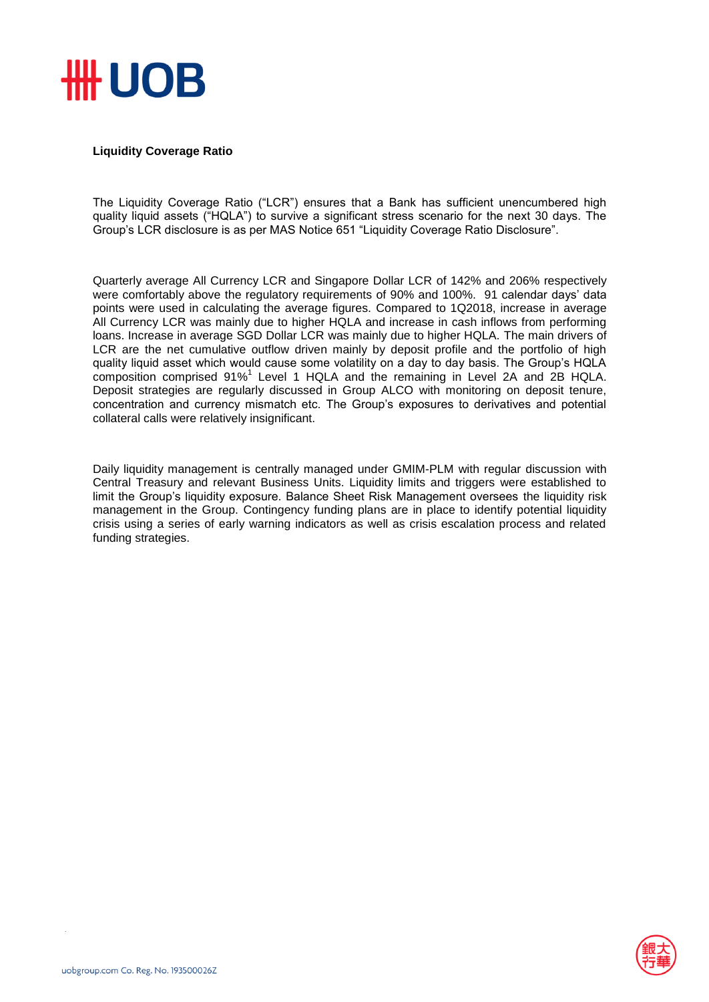

## **Liquidity Coverage Ratio**

The Liquidity Coverage Ratio ("LCR") ensures that a Bank has sufficient unencumbered high quality liquid assets ("HQLA") to survive a significant stress scenario for the next 30 days. The Group's LCR disclosure is as per MAS Notice 651 "Liquidity Coverage Ratio Disclosure".

Quarterly average All Currency LCR and Singapore Dollar LCR of 142% and 206% respectively were comfortably above the regulatory requirements of 90% and 100%. 91 calendar days' data points were used in calculating the average figures. Compared to 1Q2018, increase in average All Currency LCR was mainly due to higher HQLA and increase in cash inflows from performing loans. Increase in average SGD Dollar LCR was mainly due to higher HQLA. The main drivers of LCR are the net cumulative outflow driven mainly by deposit profile and the portfolio of high quality liquid asset which would cause some volatility on a day to day basis. The Group's HQLA  $\overline{c}$  composition comprised 91%<sup>1</sup> Level 1 HQLA and the remaining in Level 2A and 2B HQLA. Deposit strategies are regularly discussed in Group ALCO with monitoring on deposit tenure, concentration and currency mismatch etc. The Group's exposures to derivatives and potential collateral calls were relatively insignificant.

Daily liquidity management is centrally managed under GMIM-PLM with regular discussion with Central Treasury and relevant Business Units. Liquidity limits and triggers were established to limit the Group's liquidity exposure. Balance Sheet Risk Management oversees the liquidity risk management in the Group. Contingency funding plans are in place to identify potential liquidity crisis using a series of early warning indicators as well as crisis escalation process and related funding strategies.

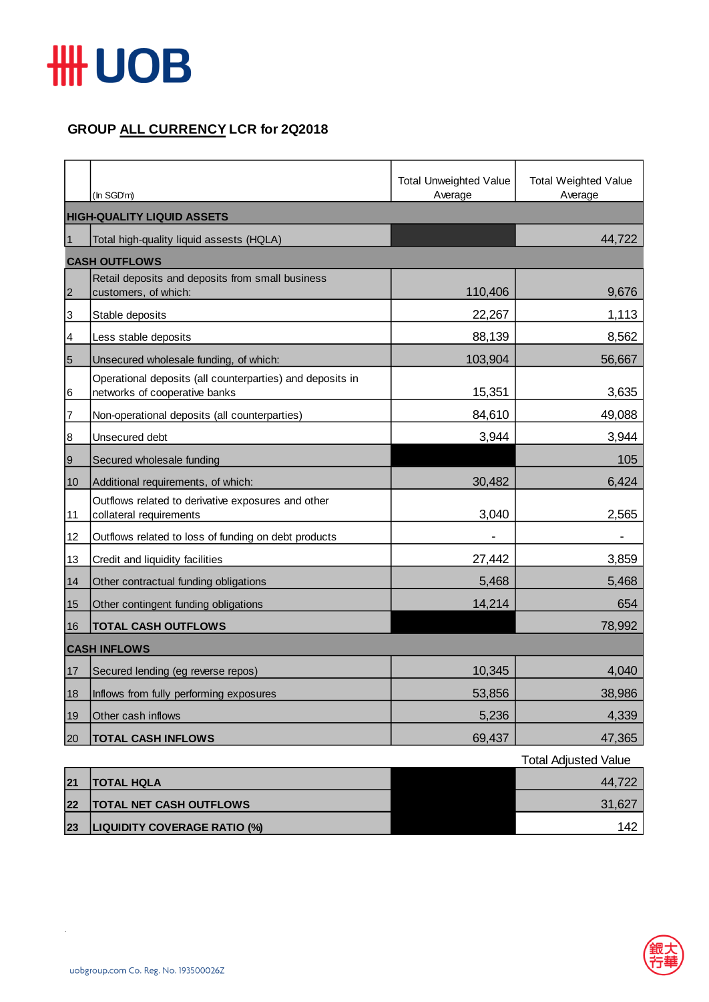

## **GROUP ALL CURRENCY LCR for 2Q2018**

|                | (In SGD'm)                                                                                 | <b>Total Unweighted Value</b><br>Average | <b>Total Weighted Value</b><br>Average |  |  |
|----------------|--------------------------------------------------------------------------------------------|------------------------------------------|----------------------------------------|--|--|
|                | <b>HIGH-QUALITY LIQUID ASSETS</b>                                                          |                                          |                                        |  |  |
| $\vert$ 1      | Total high-quality liquid assests (HQLA)                                                   |                                          | 44,722                                 |  |  |
|                | <b>CASH OUTFLOWS</b>                                                                       |                                          |                                        |  |  |
| $\overline{2}$ | Retail deposits and deposits from small business<br>customers, of which:                   | 110,406                                  | 9,676                                  |  |  |
| 3              | Stable deposits                                                                            | 22,267                                   | 1,113                                  |  |  |
| 4              | Less stable deposits                                                                       | 88,139                                   | 8,562                                  |  |  |
| $\overline{5}$ | Unsecured wholesale funding, of which:                                                     | 103,904                                  | 56,667                                 |  |  |
| 6              | Operational deposits (all counterparties) and deposits in<br>networks of cooperative banks | 15,351                                   | 3,635                                  |  |  |
| 7              | Non-operational deposits (all counterparties)                                              | 84,610                                   | 49,088                                 |  |  |
| 8              | Unsecured debt                                                                             | 3,944                                    | 3,944                                  |  |  |
| $\overline{9}$ | Secured wholesale funding                                                                  |                                          | 105                                    |  |  |
| 10             | Additional requirements, of which:                                                         | 30,482                                   | 6,424                                  |  |  |
| 11             | Outflows related to derivative exposures and other<br>collateral requirements              | 3,040                                    | 2,565                                  |  |  |
| 12             | Outflows related to loss of funding on debt products                                       |                                          |                                        |  |  |
| 13             | Credit and liquidity facilities                                                            | 27,442                                   | 3,859                                  |  |  |
| 14             | Other contractual funding obligations                                                      | 5,468                                    | 5,468                                  |  |  |
| 15             | Other contingent funding obligations                                                       | 14,214                                   | 654                                    |  |  |
| 16             | <b>TOTAL CASH OUTFLOWS</b>                                                                 |                                          | 78,992                                 |  |  |
|                | <b>CASH INFLOWS</b>                                                                        |                                          |                                        |  |  |
| 17             | Secured lending (eg reverse repos)                                                         | 10,345                                   | 4,040                                  |  |  |
| 18             | Inflows from fully performing exposures                                                    | 53,856                                   | 38,986                                 |  |  |
| 19             | Other cash inflows                                                                         | 5,236                                    | 4,339                                  |  |  |
| 20             | <b>TOTAL CASH INFLOWS</b>                                                                  | 69,437                                   | 47,365                                 |  |  |

|    |                                     | <b>Total Adjusted Value</b> |
|----|-------------------------------------|-----------------------------|
| 21 | <b>TOTAL HQLA</b>                   | 44,722                      |
| 22 | <b>TOTAL NET CASH OUTFLOWS</b>      | 31,627                      |
| 23 | <b>LIQUIDITY COVERAGE RATIO (%)</b> | 142                         |